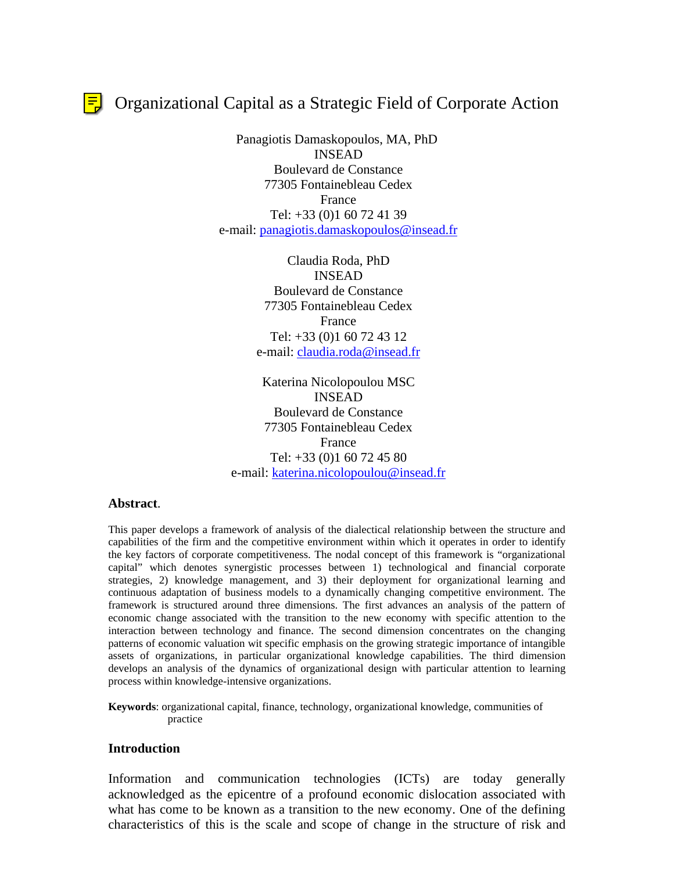$\left| \frac{1}{n} \right|$  Organizational Capital as a Strategic Field of Corporate Action

Panagiotis Damaskopoulos, MA, PhD INSEAD Boulevard de Constance 77305 Fontainebleau Cedex France Tel: +33 (0)1 60 72 41 39 e-mail: panagiotis.damaskopoulos@insead.fr

> Claudia Roda, PhD INSEAD Boulevard de Constance 77305 Fontainebleau Cedex France Tel: +33 (0)1 60 72 43 12 e-mail: claudia.roda@insead.fr

Katerina Nicolopoulou MSC INSEAD Boulevard de Constance 77305 Fontainebleau Cedex France Tel: +33 (0)1 60 72 45 80 e-mail: katerina.nicolopoulou@insead.fr

### **Abstract**.

This paper develops a framework of analysis of the dialectical relationship between the structure and capabilities of the firm and the competitive environment within which it operates in order to identify the key factors of corporate competitiveness. The nodal concept of this framework is "organizational capital" which denotes synergistic processes between 1) technological and financial corporate strategies, 2) knowledge management, and 3) their deployment for organizational learning and continuous adaptation of business models to a dynamically changing competitive environment. The framework is structured around three dimensions. The first advances an analysis of the pattern of economic change associated with the transition to the new economy with specific attention to the interaction between technology and finance. The second dimension concentrates on the changing patterns of economic valuation wit specific emphasis on the growing strategic importance of intangible assets of organizations, in particular organizational knowledge capabilities. The third dimension develops an analysis of the dynamics of organizational design with particular attention to learning process within knowledge-intensive organizations.

**Keywords**: organizational capital, finance, technology, organizational knowledge, communities of practice

#### **Introduction**

Information and communication technologies (ICTs) are today generally acknowledged as the epicentre of a profound economic dislocation associated with what has come to be known as a transition to the new economy. One of the defining characteristics of this is the scale and scope of change in the structure of risk and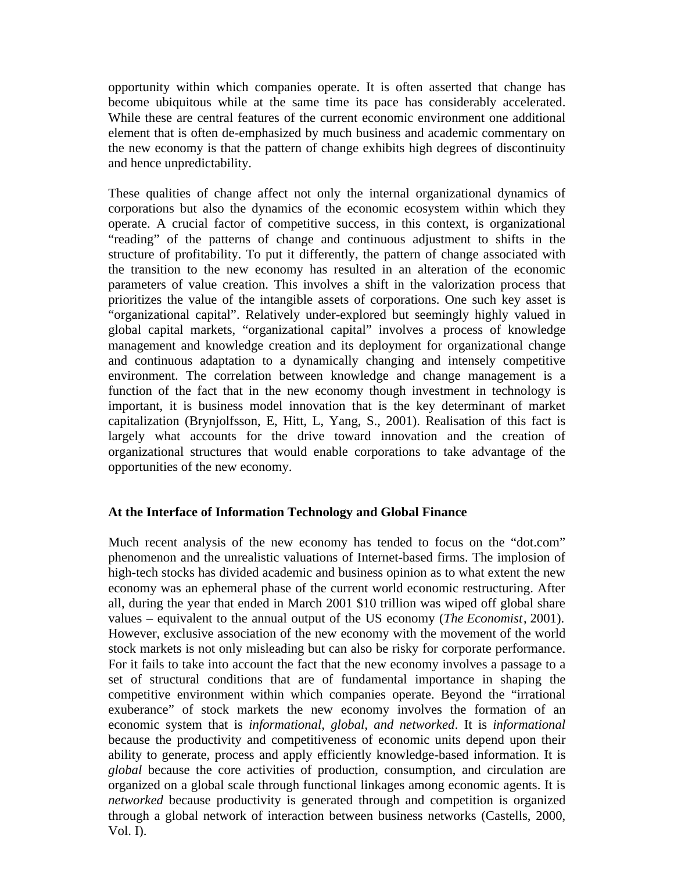opportunity within which companies operate. It is often asserted that change has become ubiquitous while at the same time its pace has considerably accelerated. While these are central features of the current economic environment one additional element that is often de-emphasized by much business and academic commentary on the new economy is that the pattern of change exhibits high degrees of discontinuity and hence unpredictability.

These qualities of change affect not only the internal organizational dynamics of corporations but also the dynamics of the economic ecosystem within which they operate. A crucial factor of competitive success, in this context, is organizational "reading" of the patterns of change and continuous adjustment to shifts in the structure of profitability. To put it differently, the pattern of change associated with the transition to the new economy has resulted in an alteration of the economic parameters of value creation. This involves a shift in the valorization process that prioritizes the value of the intangible assets of corporations. One such key asset is "organizational capital". Relatively under-explored but seemingly highly valued in global capital markets, "organizational capital" involves a process of knowledge management and knowledge creation and its deployment for organizational change and continuous adaptation to a dynamically changing and intensely competitive environment. The correlation between knowledge and change management is a function of the fact that in the new economy though investment in technology is important, it is business model innovation that is the key determinant of market capitalization (Brynjolfsson, E, Hitt, L, Yang, S., 2001). Realisation of this fact is largely what accounts for the drive toward innovation and the creation of organizational structures that would enable corporations to take advantage of the opportunities of the new economy.

## **At the Interface of Information Technology and Global Finance**

Much recent analysis of the new economy has tended to focus on the "dot.com" phenomenon and the unrealistic valuations of Internet-based firms. The implosion of high-tech stocks has divided academic and business opinion as to what extent the new economy was an ephemeral phase of the current world economic restructuring. After all, during the year that ended in March 2001 \$10 trillion was wiped off global share values – equivalent to the annual output of the US economy (*The Economist*, 2001). However, exclusive association of the new economy with the movement of the world stock markets is not only misleading but can also be risky for corporate performance. For it fails to take into account the fact that the new economy involves a passage to a set of structural conditions that are of fundamental importance in shaping the competitive environment within which companies operate. Beyond the "irrational exuberance" of stock markets the new economy involves the formation of an economic system that is *informational, global, and networked*. It is *informational* because the productivity and competitiveness of economic units depend upon their ability to generate, process and apply efficiently knowledge-based information. It is *global* because the core activities of production, consumption, and circulation are organized on a global scale through functional linkages among economic agents. It is *networked* because productivity is generated through and competition is organized through a global network of interaction between business networks (Castells, 2000, Vol. I).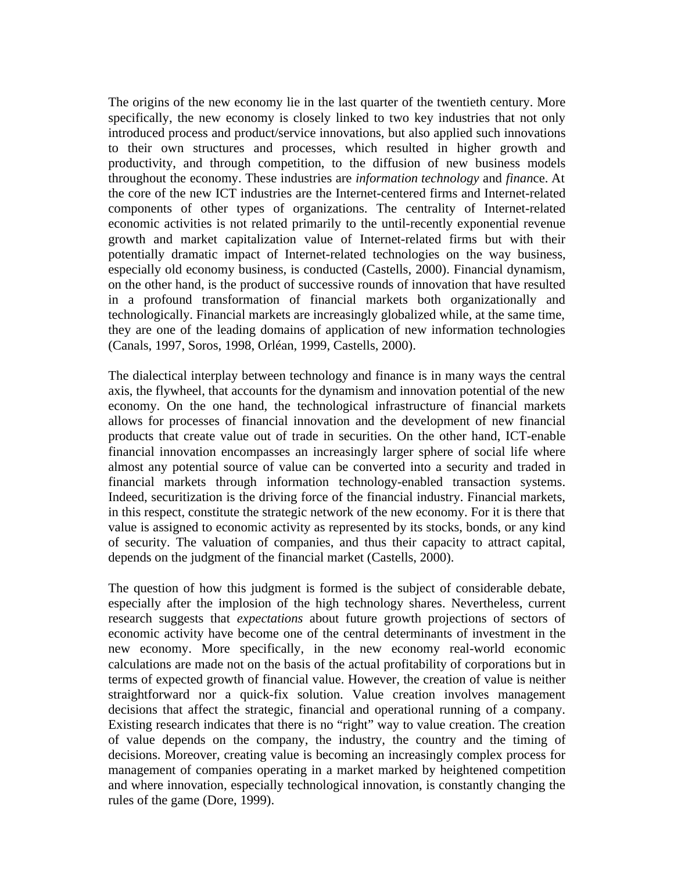The origins of the new economy lie in the last quarter of the twentieth century. More specifically, the new economy is closely linked to two key industries that not only introduced process and product/service innovations, but also applied such innovations to their own structures and processes, which resulted in higher growth and productivity, and through competition, to the diffusion of new business models throughout the economy. These industries are *information technology* and *finan*ce. At the core of the new ICT industries are the Internet-centered firms and Internet-related components of other types of organizations. The centrality of Internet-related economic activities is not related primarily to the until-recently exponential revenue growth and market capitalization value of Internet-related firms but with their potentially dramatic impact of Internet-related technologies on the way business, especially old economy business, is conducted (Castells, 2000). Financial dynamism, on the other hand, is the product of successive rounds of innovation that have resulted in a profound transformation of financial markets both organizationally and technologically. Financial markets are increasingly globalized while, at the same time, they are one of the leading domains of application of new information technologies (Canals, 1997, Soros, 1998, Orléan, 1999, Castells, 2000).

The dialectical interplay between technology and finance is in many ways the central axis, the flywheel, that accounts for the dynamism and innovation potential of the new economy. On the one hand, the technological infrastructure of financial markets allows for processes of financial innovation and the development of new financial products that create value out of trade in securities. On the other hand, ICT-enable financial innovation encompasses an increasingly larger sphere of social life where almost any potential source of value can be converted into a security and traded in financial markets through information technology-enabled transaction systems. Indeed, securitization is the driving force of the financial industry. Financial markets, in this respect, constitute the strategic network of the new economy. For it is there that value is assigned to economic activity as represented by its stocks, bonds, or any kind of security. The valuation of companies, and thus their capacity to attract capital, depends on the judgment of the financial market (Castells, 2000).

The question of how this judgment is formed is the subject of considerable debate, especially after the implosion of the high technology shares. Nevertheless, current research suggests that *expectations* about future growth projections of sectors of economic activity have become one of the central determinants of investment in the new economy. More specifically, in the new economy real-world economic calculations are made not on the basis of the actual profitability of corporations but in terms of expected growth of financial value. However, the creation of value is neither straightforward nor a quick-fix solution. Value creation involves management decisions that affect the strategic, financial and operational running of a company. Existing research indicates that there is no "right" way to value creation. The creation of value depends on the company, the industry, the country and the timing of decisions. Moreover, creating value is becoming an increasingly complex process for management of companies operating in a market marked by heightened competition and where innovation, especially technological innovation, is constantly changing the rules of the game (Dore, 1999).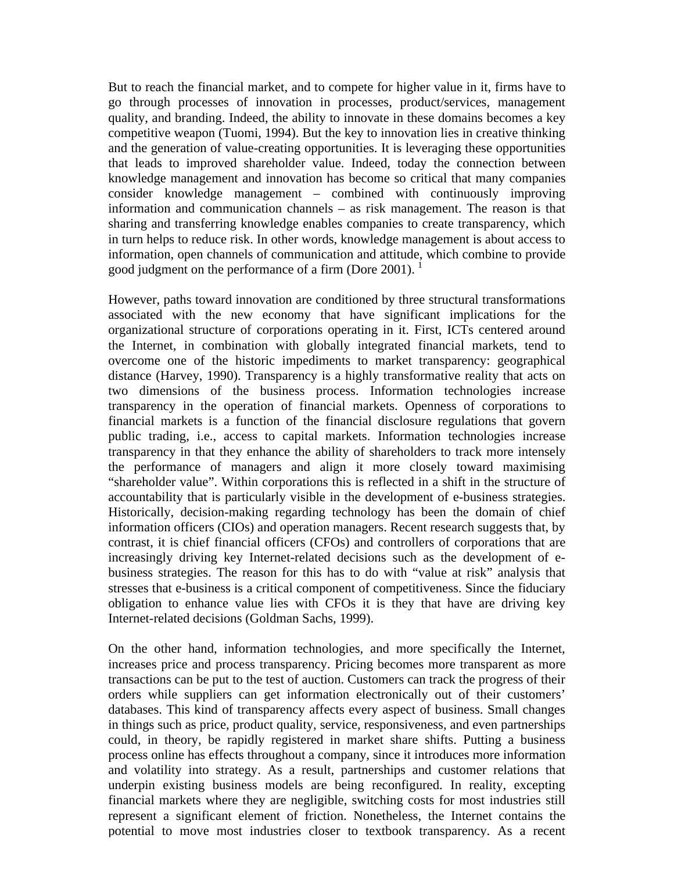But to reach the financial market, and to compete for higher value in it, firms have to go through processes of innovation in processes, product/services, management quality, and branding. Indeed, the ability to innovate in these domains becomes a key competitive weapon (Tuomi, 1994). But the key to innovation lies in creative thinking and the generation of value-creating opportunities. It is leveraging these opportunities that leads to improved shareholder value. Indeed, today the connection between knowledge management and innovation has become so critical that many companies consider knowledge management – combined with continuously improving information and communication channels – as risk management. The reason is that sharing and transferring knowledge enables companies to create transparency, which in turn helps to reduce risk. In other words, knowledge management is about access to information, open channels of communication and attitude, which combine to provide good judgment on the performance of a firm (Dore 2001).  $<sup>1</sup>$ </sup>

However, paths toward innovation are conditioned by three structural transformations associated with the new economy that have significant implications for the organizational structure of corporations operating in it. First, ICTs centered around the Internet, in combination with globally integrated financial markets, tend to overcome one of the historic impediments to market transparency: geographical distance (Harvey, 1990). Transparency is a highly transformative reality that acts on two dimensions of the business process. Information technologies increase transparency in the operation of financial markets. Openness of corporations to financial markets is a function of the financial disclosure regulations that govern public trading, i.e., access to capital markets. Information technologies increase transparency in that they enhance the ability of shareholders to track more intensely the performance of managers and align it more closely toward maximising "shareholder value". Within corporations this is reflected in a shift in the structure of accountability that is particularly visible in the development of e-business strategies. Historically, decision-making regarding technology has been the domain of chief information officers (CIOs) and operation managers. Recent research suggests that, by contrast, it is chief financial officers (CFOs) and controllers of corporations that are increasingly driving key Internet-related decisions such as the development of ebusiness strategies. The reason for this has to do with "value at risk" analysis that stresses that e-business is a critical component of competitiveness. Since the fiduciary obligation to enhance value lies with CFOs it is they that have are driving key Internet-related decisions (Goldman Sachs, 1999).

On the other hand, information technologies, and more specifically the Internet, increases price and process transparency. Pricing becomes more transparent as more transactions can be put to the test of auction. Customers can track the progress of their orders while suppliers can get information electronically out of their customers' databases. This kind of transparency affects every aspect of business. Small changes in things such as price, product quality, service, responsiveness, and even partnerships could, in theory, be rapidly registered in market share shifts. Putting a business process online has effects throughout a company, since it introduces more information and volatility into strategy. As a result, partnerships and customer relations that underpin existing business models are being reconfigured. In reality, excepting financial markets where they are negligible, switching costs for most industries still represent a significant element of friction. Nonetheless, the Internet contains the potential to move most industries closer to textbook transparency. As a recent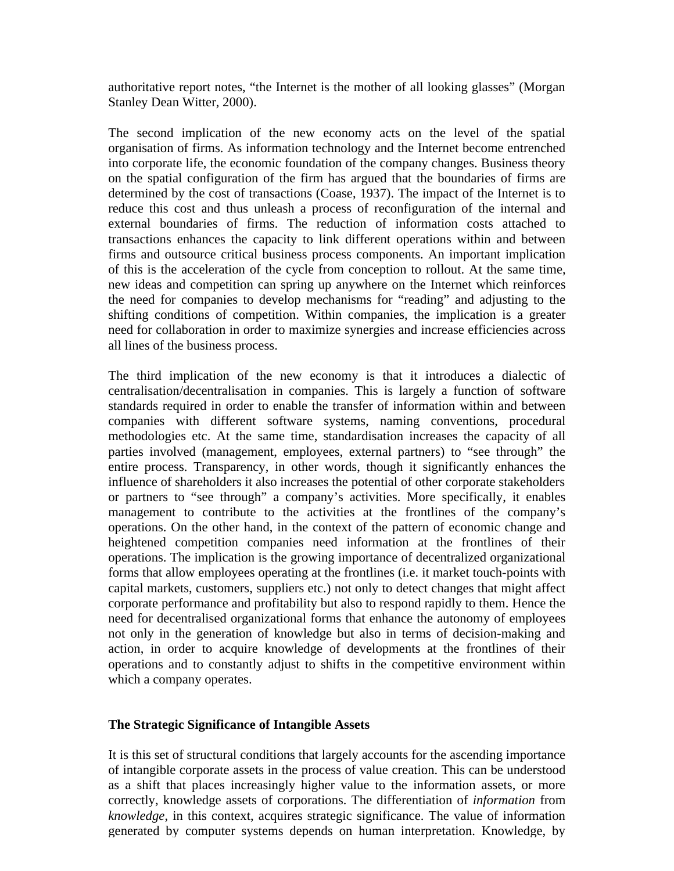authoritative report notes, "the Internet is the mother of all looking glasses" (Morgan Stanley Dean Witter, 2000).

The second implication of the new economy acts on the level of the spatial organisation of firms. As information technology and the Internet become entrenched into corporate life, the economic foundation of the company changes. Business theory on the spatial configuration of the firm has argued that the boundaries of firms are determined by the cost of transactions (Coase, 1937). The impact of the Internet is to reduce this cost and thus unleash a process of reconfiguration of the internal and external boundaries of firms. The reduction of information costs attached to transactions enhances the capacity to link different operations within and between firms and outsource critical business process components. An important implication of this is the acceleration of the cycle from conception to rollout. At the same time, new ideas and competition can spring up anywhere on the Internet which reinforces the need for companies to develop mechanisms for "reading" and adjusting to the shifting conditions of competition. Within companies, the implication is a greater need for collaboration in order to maximize synergies and increase efficiencies across all lines of the business process.

The third implication of the new economy is that it introduces a dialectic of centralisation/decentralisation in companies. This is largely a function of software standards required in order to enable the transfer of information within and between companies with different software systems, naming conventions, procedural methodologies etc. At the same time, standardisation increases the capacity of all parties involved (management, employees, external partners) to "see through" the entire process. Transparency, in other words, though it significantly enhances the influence of shareholders it also increases the potential of other corporate stakeholders or partners to "see through" a company's activities. More specifically, it enables management to contribute to the activities at the frontlines of the company's operations. On the other hand, in the context of the pattern of economic change and heightened competition companies need information at the frontlines of their operations. The implication is the growing importance of decentralized organizational forms that allow employees operating at the frontlines (i.e. it market touch-points with capital markets, customers, suppliers etc.) not only to detect changes that might affect corporate performance and profitability but also to respond rapidly to them. Hence the need for decentralised organizational forms that enhance the autonomy of employees not only in the generation of knowledge but also in terms of decision-making and action, in order to acquire knowledge of developments at the frontlines of their operations and to constantly adjust to shifts in the competitive environment within which a company operates.

## **The Strategic Significance of Intangible Assets**

It is this set of structural conditions that largely accounts for the ascending importance of intangible corporate assets in the process of value creation. This can be understood as a shift that places increasingly higher value to the information assets, or more correctly, knowledge assets of corporations. The differentiation of *information* from *knowledge*, in this context, acquires strategic significance. The value of information generated by computer systems depends on human interpretation. Knowledge, by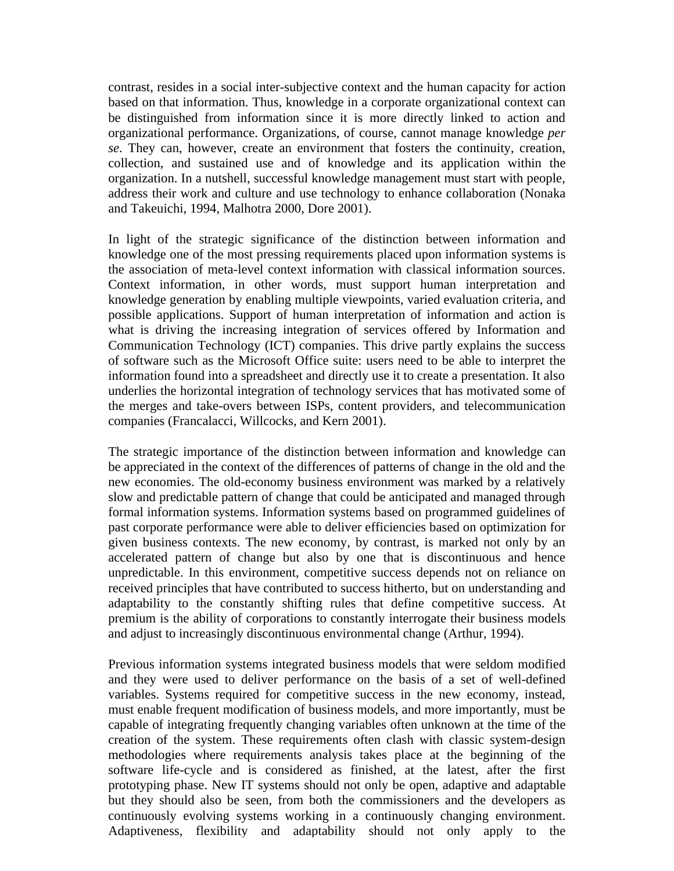contrast, resides in a social inter-subjective context and the human capacity for action based on that information. Thus, knowledge in a corporate organizational context can be distinguished from information since it is more directly linked to action and organizational performance. Organizations, of course, cannot manage knowledge *per se*. They can, however, create an environment that fosters the continuity, creation, collection, and sustained use and of knowledge and its application within the organization. In a nutshell, successful knowledge management must start with people, address their work and culture and use technology to enhance collaboration (Nonaka and Takeuichi, 1994, Malhotra 2000, Dore 2001).

In light of the strategic significance of the distinction between information and knowledge one of the most pressing requirements placed upon information systems is the association of meta-level context information with classical information sources. Context information, in other words, must support human interpretation and knowledge generation by enabling multiple viewpoints, varied evaluation criteria, and possible applications. Support of human interpretation of information and action is what is driving the increasing integration of services offered by Information and Communication Technology (ICT) companies. This drive partly explains the success of software such as the Microsoft Office suite: users need to be able to interpret the information found into a spreadsheet and directly use it to create a presentation. It also underlies the horizontal integration of technology services that has motivated some of the merges and take-overs between ISPs, content providers, and telecommunication companies (Francalacci, Willcocks, and Kern 2001).

The strategic importance of the distinction between information and knowledge can be appreciated in the context of the differences of patterns of change in the old and the new economies. The old-economy business environment was marked by a relatively slow and predictable pattern of change that could be anticipated and managed through formal information systems. Information systems based on programmed guidelines of past corporate performance were able to deliver efficiencies based on optimization for given business contexts. The new economy, by contrast, is marked not only by an accelerated pattern of change but also by one that is discontinuous and hence unpredictable. In this environment, competitive success depends not on reliance on received principles that have contributed to success hitherto, but on understanding and adaptability to the constantly shifting rules that define competitive success. At premium is the ability of corporations to constantly interrogate their business models and adjust to increasingly discontinuous environmental change (Arthur, 1994).

Previous information systems integrated business models that were seldom modified and they were used to deliver performance on the basis of a set of well-defined variables. Systems required for competitive success in the new economy, instead, must enable frequent modification of business models, and more importantly, must be capable of integrating frequently changing variables often unknown at the time of the creation of the system. These requirements often clash with classic system-design methodologies where requirements analysis takes place at the beginning of the software life-cycle and is considered as finished, at the latest, after the first prototyping phase. New IT systems should not only be open, adaptive and adaptable but they should also be seen, from both the commissioners and the developers as continuously evolving systems working in a continuously changing environment. Adaptiveness, flexibility and adaptability should not only apply to the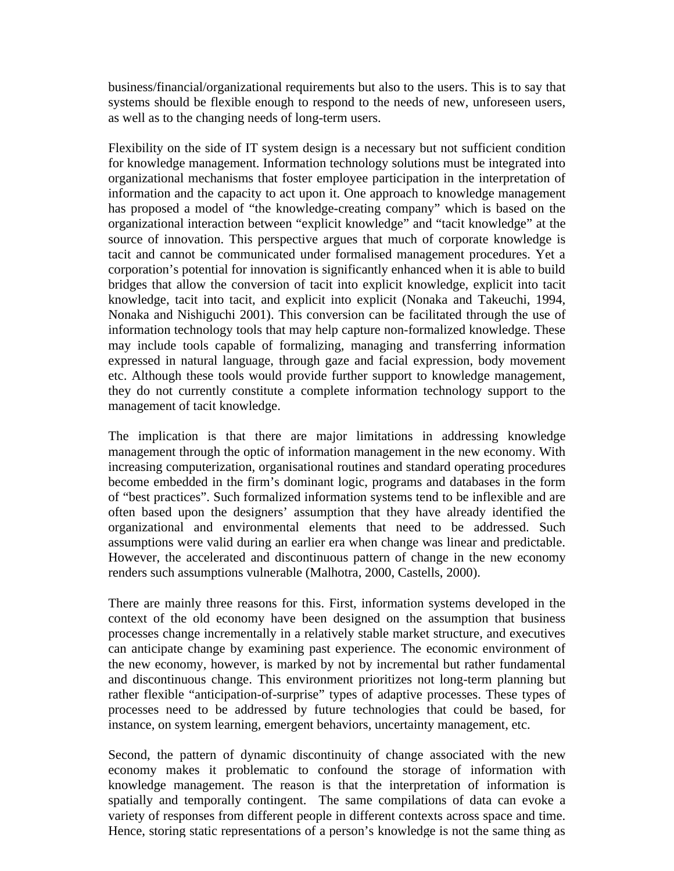business/financial/organizational requirements but also to the users. This is to say that systems should be flexible enough to respond to the needs of new, unforeseen users, as well as to the changing needs of long-term users.

Flexibility on the side of IT system design is a necessary but not sufficient condition for knowledge management. Information technology solutions must be integrated into organizational mechanisms that foster employee participation in the interpretation of information and the capacity to act upon it. One approach to knowledge management has proposed a model of "the knowledge-creating company" which is based on the organizational interaction between "explicit knowledge" and "tacit knowledge" at the source of innovation. This perspective argues that much of corporate knowledge is tacit and cannot be communicated under formalised management procedures. Yet a corporation's potential for innovation is significantly enhanced when it is able to build bridges that allow the conversion of tacit into explicit knowledge, explicit into tacit knowledge, tacit into tacit, and explicit into explicit (Nonaka and Takeuchi, 1994, Nonaka and Nishiguchi 2001). This conversion can be facilitated through the use of information technology tools that may help capture non-formalized knowledge. These may include tools capable of formalizing, managing and transferring information expressed in natural language, through gaze and facial expression, body movement etc. Although these tools would provide further support to knowledge management, they do not currently constitute a complete information technology support to the management of tacit knowledge.

The implication is that there are major limitations in addressing knowledge management through the optic of information management in the new economy. With increasing computerization, organisational routines and standard operating procedures become embedded in the firm's dominant logic, programs and databases in the form of "best practices". Such formalized information systems tend to be inflexible and are often based upon the designers' assumption that they have already identified the organizational and environmental elements that need to be addressed. Such assumptions were valid during an earlier era when change was linear and predictable. However, the accelerated and discontinuous pattern of change in the new economy renders such assumptions vulnerable (Malhotra, 2000, Castells, 2000).

There are mainly three reasons for this. First, information systems developed in the context of the old economy have been designed on the assumption that business processes change incrementally in a relatively stable market structure, and executives can anticipate change by examining past experience. The economic environment of the new economy, however, is marked by not by incremental but rather fundamental and discontinuous change. This environment prioritizes not long-term planning but rather flexible "anticipation-of-surprise" types of adaptive processes. These types of processes need to be addressed by future technologies that could be based, for instance, on system learning, emergent behaviors, uncertainty management, etc.

Second, the pattern of dynamic discontinuity of change associated with the new economy makes it problematic to confound the storage of information with knowledge management. The reason is that the interpretation of information is spatially and temporally contingent. The same compilations of data can evoke a variety of responses from different people in different contexts across space and time. Hence, storing static representations of a person's knowledge is not the same thing as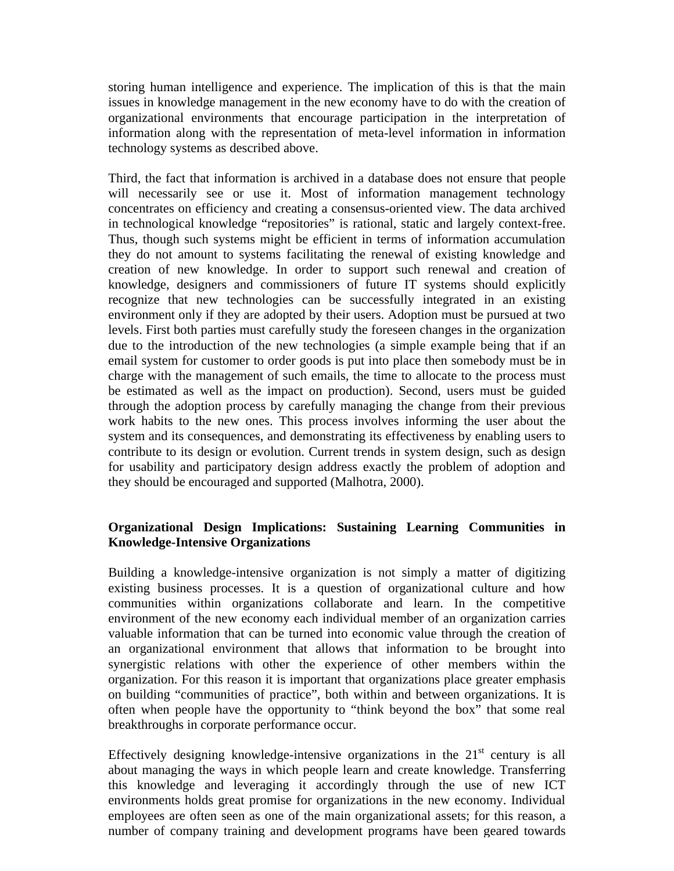storing human intelligence and experience. The implication of this is that the main issues in knowledge management in the new economy have to do with the creation of organizational environments that encourage participation in the interpretation of information along with the representation of meta-level information in information technology systems as described above.

Third, the fact that information is archived in a database does not ensure that people will necessarily see or use it. Most of information management technology concentrates on efficiency and creating a consensus-oriented view. The data archived in technological knowledge "repositories" is rational, static and largely context-free. Thus, though such systems might be efficient in terms of information accumulation they do not amount to systems facilitating the renewal of existing knowledge and creation of new knowledge. In order to support such renewal and creation of knowledge, designers and commissioners of future IT systems should explicitly recognize that new technologies can be successfully integrated in an existing environment only if they are adopted by their users. Adoption must be pursued at two levels. First both parties must carefully study the foreseen changes in the organization due to the introduction of the new technologies (a simple example being that if an email system for customer to order goods is put into place then somebody must be in charge with the management of such emails, the time to allocate to the process must be estimated as well as the impact on production). Second, users must be guided through the adoption process by carefully managing the change from their previous work habits to the new ones. This process involves informing the user about the system and its consequences, and demonstrating its effectiveness by enabling users to contribute to its design or evolution. Current trends in system design, such as design for usability and participatory design address exactly the problem of adoption and they should be encouraged and supported (Malhotra, 2000).

# **Organizational Design Implications: Sustaining Learning Communities in Knowledge-Intensive Organizations**

Building a knowledge-intensive organization is not simply a matter of digitizing existing business processes. It is a question of organizational culture and how communities within organizations collaborate and learn. In the competitive environment of the new economy each individual member of an organization carries valuable information that can be turned into economic value through the creation of an organizational environment that allows that information to be brought into synergistic relations with other the experience of other members within the organization. For this reason it is important that organizations place greater emphasis on building "communities of practice", both within and between organizations. It is often when people have the opportunity to "think beyond the box" that some real breakthroughs in corporate performance occur.

Effectively designing knowledge-intensive organizations in the  $21<sup>st</sup>$  century is all about managing the ways in which people learn and create knowledge. Transferring this knowledge and leveraging it accordingly through the use of new ICT environments holds great promise for organizations in the new economy. Individual employees are often seen as one of the main organizational assets; for this reason, a number of company training and development programs have been geared towards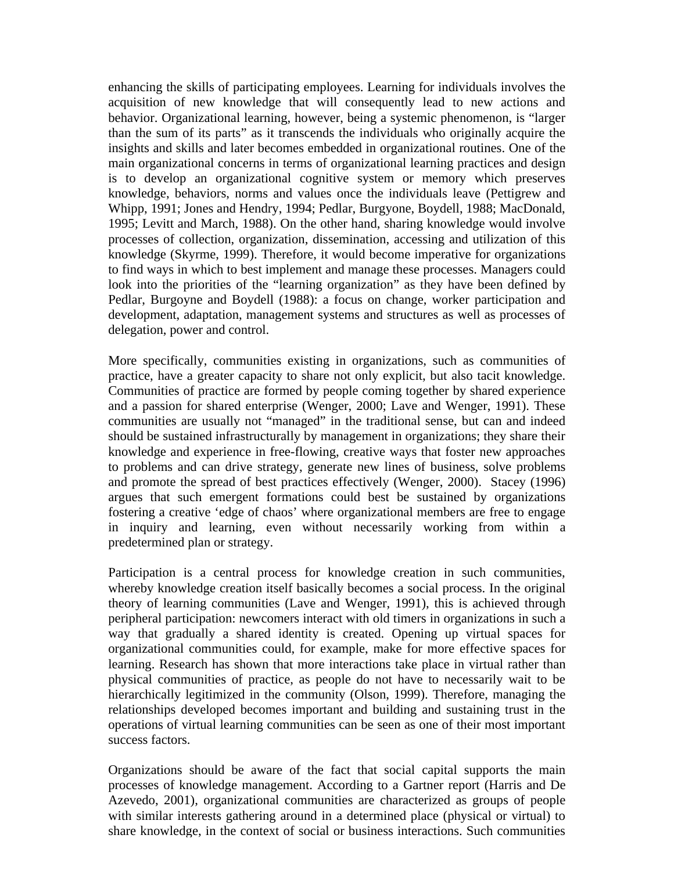enhancing the skills of participating employees. Learning for individuals involves the acquisition of new knowledge that will consequently lead to new actions and behavior. Organizational learning, however, being a systemic phenomenon, is "larger than the sum of its parts" as it transcends the individuals who originally acquire the insights and skills and later becomes embedded in organizational routines. One of the main organizational concerns in terms of organizational learning practices and design is to develop an organizational cognitive system or memory which preserves knowledge, behaviors, norms and values once the individuals leave (Pettigrew and Whipp, 1991; Jones and Hendry, 1994; Pedlar, Burgyone, Boydell, 1988; MacDonald, 1995; Levitt and March, 1988). On the other hand, sharing knowledge would involve processes of collection, organization, dissemination, accessing and utilization of this knowledge (Skyrme, 1999). Therefore, it would become imperative for organizations to find ways in which to best implement and manage these processes. Managers could look into the priorities of the "learning organization" as they have been defined by Pedlar, Burgoyne and Boydell (1988): a focus on change, worker participation and development, adaptation, management systems and structures as well as processes of delegation, power and control.

More specifically, communities existing in organizations, such as communities of practice, have a greater capacity to share not only explicit, but also tacit knowledge. Communities of practice are formed by people coming together by shared experience and a passion for shared enterprise (Wenger, 2000; Lave and Wenger, 1991). These communities are usually not "managed" in the traditional sense, but can and indeed should be sustained infrastructurally by management in organizations; they share their knowledge and experience in free-flowing, creative ways that foster new approaches to problems and can drive strategy, generate new lines of business, solve problems and promote the spread of best practices effectively (Wenger, 2000). Stacey (1996) argues that such emergent formations could best be sustained by organizations fostering a creative 'edge of chaos' where organizational members are free to engage in inquiry and learning, even without necessarily working from within a predetermined plan or strategy.

Participation is a central process for knowledge creation in such communities, whereby knowledge creation itself basically becomes a social process. In the original theory of learning communities (Lave and Wenger, 1991), this is achieved through peripheral participation: newcomers interact with old timers in organizations in such a way that gradually a shared identity is created. Opening up virtual spaces for organizational communities could, for example, make for more effective spaces for learning. Research has shown that more interactions take place in virtual rather than physical communities of practice, as people do not have to necessarily wait to be hierarchically legitimized in the community (Olson, 1999). Therefore, managing the relationships developed becomes important and building and sustaining trust in the operations of virtual learning communities can be seen as one of their most important success factors.

Organizations should be aware of the fact that social capital supports the main processes of knowledge management. According to a Gartner report (Harris and De Azevedo, 2001), organizational communities are characterized as groups of people with similar interests gathering around in a determined place (physical or virtual) to share knowledge, in the context of social or business interactions. Such communities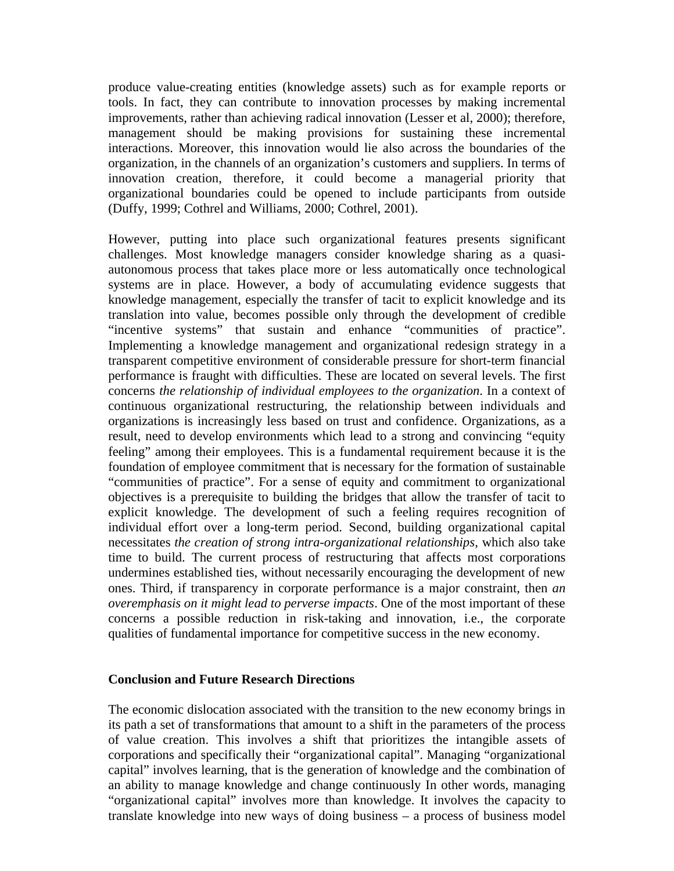produce value-creating entities (knowledge assets) such as for example reports or tools. In fact, they can contribute to innovation processes by making incremental improvements, rather than achieving radical innovation (Lesser et al, 2000); therefore, management should be making provisions for sustaining these incremental interactions. Moreover, this innovation would lie also across the boundaries of the organization, in the channels of an organization's customers and suppliers. In terms of innovation creation, therefore, it could become a managerial priority that organizational boundaries could be opened to include participants from outside (Duffy, 1999; Cothrel and Williams, 2000; Cothrel, 2001).

However, putting into place such organizational features presents significant challenges. Most knowledge managers consider knowledge sharing as a quasiautonomous process that takes place more or less automatically once technological systems are in place. However, a body of accumulating evidence suggests that knowledge management, especially the transfer of tacit to explicit knowledge and its translation into value, becomes possible only through the development of credible "incentive systems" that sustain and enhance "communities of practice". Implementing a knowledge management and organizational redesign strategy in a transparent competitive environment of considerable pressure for short-term financial performance is fraught with difficulties. These are located on several levels. The first concerns *the relationship of individual employees to the organization*. In a context of continuous organizational restructuring, the relationship between individuals and organizations is increasingly less based on trust and confidence. Organizations, as a result, need to develop environments which lead to a strong and convincing "equity feeling" among their employees. This is a fundamental requirement because it is the foundation of employee commitment that is necessary for the formation of sustainable "communities of practice". For a sense of equity and commitment to organizational objectives is a prerequisite to building the bridges that allow the transfer of tacit to explicit knowledge. The development of such a feeling requires recognition of individual effort over a long-term period. Second, building organizational capital necessitates *the creation of strong intra-organizational relationships*, which also take time to build. The current process of restructuring that affects most corporations undermines established ties, without necessarily encouraging the development of new ones. Third, if transparency in corporate performance is a major constraint, then *an overemphasis on it might lead to perverse impacts*. One of the most important of these concerns a possible reduction in risk-taking and innovation, i.e., the corporate qualities of fundamental importance for competitive success in the new economy.

### **Conclusion and Future Research Directions**

The economic dislocation associated with the transition to the new economy brings in its path a set of transformations that amount to a shift in the parameters of the process of value creation. This involves a shift that prioritizes the intangible assets of corporations and specifically their "organizational capital". Managing "organizational capital" involves learning, that is the generation of knowledge and the combination of an ability to manage knowledge and change continuously In other words, managing "organizational capital" involves more than knowledge. It involves the capacity to translate knowledge into new ways of doing business – a process of business model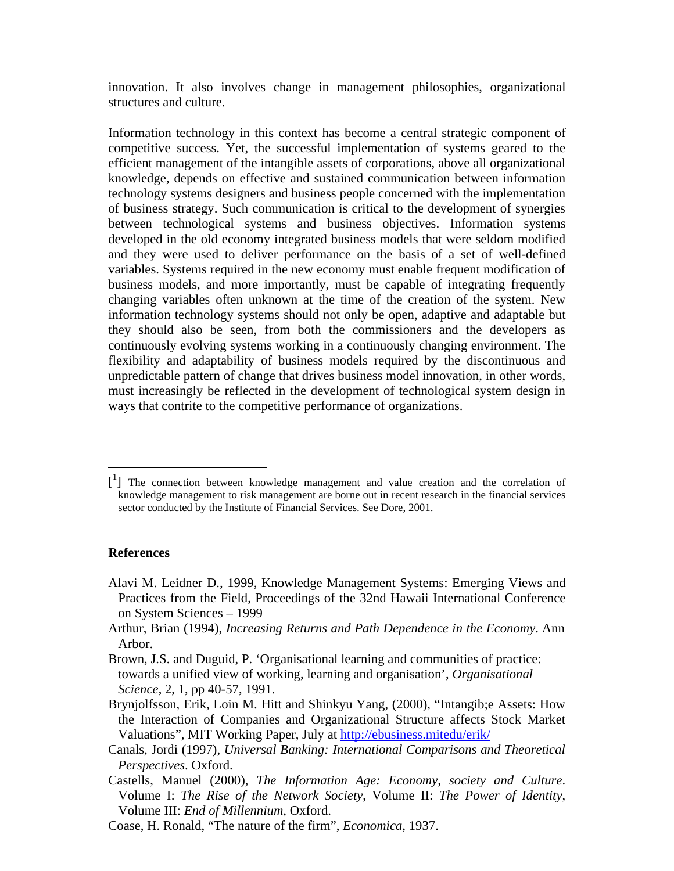innovation. It also involves change in management philosophies, organizational structures and culture.

Information technology in this context has become a central strategic component of competitive success. Yet, the successful implementation of systems geared to the efficient management of the intangible assets of corporations, above all organizational knowledge, depends on effective and sustained communication between information technology systems designers and business people concerned with the implementation of business strategy. Such communication is critical to the development of synergies between technological systems and business objectives. Information systems developed in the old economy integrated business models that were seldom modified and they were used to deliver performance on the basis of a set of well-defined variables. Systems required in the new economy must enable frequent modification of business models, and more importantly, must be capable of integrating frequently changing variables often unknown at the time of the creation of the system. New information technology systems should not only be open, adaptive and adaptable but they should also be seen, from both the commissioners and the developers as continuously evolving systems working in a continuously changing environment. The flexibility and adaptability of business models required by the discontinuous and unpredictable pattern of change that drives business model innovation, in other words, must increasingly be reflected in the development of technological system design in ways that contrite to the competitive performance of organizations.

### **References**

 $\overline{a}$ 

- Alavi M. Leidner D., 1999, Knowledge Management Systems: Emerging Views and Practices from the Field, Proceedings of the 32nd Hawaii International Conference on System Sciences – 1999
- Arthur, Brian (1994), *Increasing Returns and Path Dependence in the Economy*. Ann Arbor.
- Brown, J.S. and Duguid, P. 'Organisational learning and communities of practice: towards a unified view of working, learning and organisation', *Organisational Science*, 2, 1, pp 40-57, 1991.
- Brynjolfsson, Erik, Loin M. Hitt and Shinkyu Yang, (2000), "Intangib;e Assets: How the Interaction of Companies and Organizational Structure affects Stock Market Valuations", MIT Working Paper, July at http://ebusiness.mitedu/erik/
- Canals, Jordi (1997), *Universal Banking: International Comparisons and Theoretical Perspectives*. Oxford.
- Castells, Manuel (2000), *The Information Age: Economy, society and Culture*. Volume I: *The Rise of the Network Society*, Volume II: *The Power of Identity*, Volume III: *End of Millennium*, Oxford.
- Coase, H. Ronald, "The nature of the firm", *Economica*, 1937.

<sup>[&</sup>lt;sup>1</sup>] The connection between knowledge management and value creation and the correlation of knowledge management to risk management are borne out in recent research in the financial services sector conducted by the Institute of Financial Services. See Dore, 2001.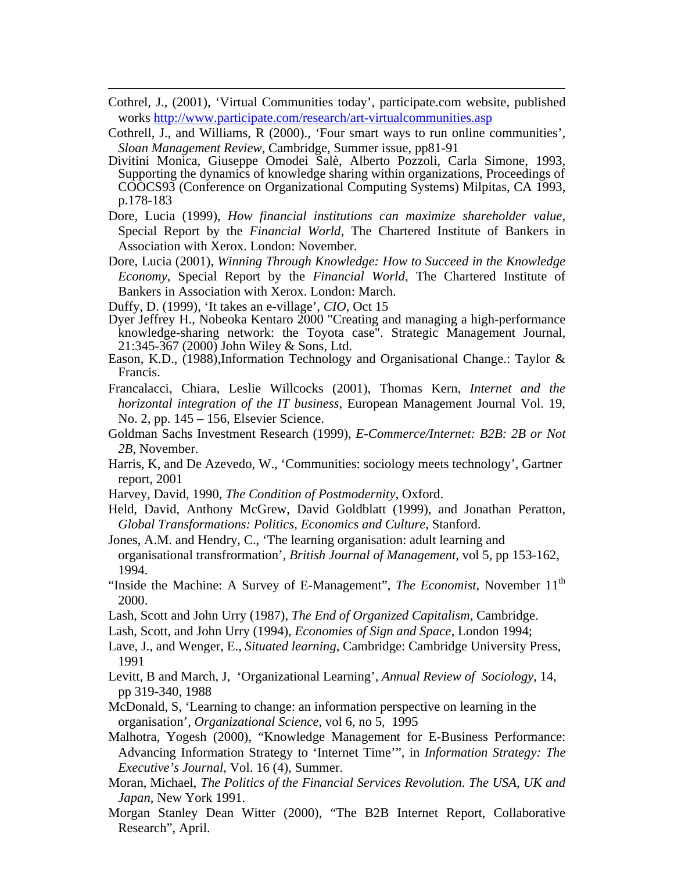- Cothrel, J., (2001), 'Virtual Communities today', participate.com website, published works http://www.participate.com/research/art-virtualcommunities.asp
- Cothrell, J., and Williams, R (2000)., 'Four smart ways to run online communities'*, Sloan Management Review*, Cambridge, Summer issue, pp81-91
- Divitini Monica, Giuseppe Omodei Salè, Alberto Pozzoli, Carla Simone, 1993, Supporting the dynamics of knowledge sharing within organizations, Proceedings of COOCS93 (Conference on Organizational Computing Systems) Milpitas, CA 1993, p.178-183
- Dore, Lucia (1999), *How financial institutions can maximize shareholder value*, Special Report by the *Financial World*, The Chartered Institute of Bankers in Association with Xerox. London: November.
- Dore, Lucia (2001), *Winning Through Knowledge: How to Succeed in the Knowledge Economy*, Special Report by the *Financial World*, The Chartered Institute of Bankers in Association with Xerox. London: March.
- Duffy, D. (1999), 'It takes an e-village', *CIO*, Oct 15

 $\overline{a}$ 

- Dyer Jeffrey H., Nobeoka Kentaro 2000 "Creating and managing a high-performance knowledge-sharing network: the Toyota case". Strategic Management Journal, 21:345-367 (2000) John Wiley & Sons, Ltd.
- Eason, K.D., (1988),Information Technology and Organisational Change.: Taylor & Francis.
- Francalacci, Chiara, Leslie Willcocks (2001), Thomas Kern, *Internet and the horizontal integration of the IT business*, European Management Journal Vol. 19, No. 2, pp. 145 – 156, Elsevier Science.
- Goldman Sachs Investment Research (1999), *E-Commerce/Internet: B2B: 2B or Not 2B*, November.
- Harris, K, and De Azevedo, W., 'Communities: sociology meets technology', Gartner report, 2001
- Harvey, David, 1990, *The Condition of Postmodernity*, Oxford.
- Held, David, Anthony McGrew, David Goldblatt (1999), and Jonathan Peratton, *Global Transformations: Politics, Economics and Culture*, Stanford.
- Jones, A.M. and Hendry, C., 'The learning organisation: adult learning and organisational transfrormation', *British Journal of Management*, vol 5, pp 153-162, 1994.
- "Inside the Machine: A Survey of E-Management", *The Economist*, November 11<sup>th</sup> 2000.
- Lash, Scott and John Urry (1987), *The End of Organized Capitalism*, Cambridge.
- Lash, Scott, and John Urry (1994), *Economies of Sign and Space*, London 1994;
- Lave, J., and Wenger, E., *Situated learning*, Cambridge: Cambridge University Press, 1991
- Levitt, B and March, J, 'Organizational Learning', *Annual Review of Sociology*, 14, pp 319-340, 1988
- McDonald, S, 'Learning to change: an information perspective on learning in the organisation', *Organizational Science*, vol 6, no 5, 1995
- Malhotra, Yogesh (2000), "Knowledge Management for E-Business Performance: Advancing Information Strategy to 'Internet Time'", in *Information Strategy: The Executive's Journal*, Vol. 16 (4), Summer.
- Moran, Michael, *The Politics of the Financial Services Revolution. The USA, UK and Japan*, New York 1991.
- Morgan Stanley Dean Witter (2000), "The B2B Internet Report, Collaborative Research", April.